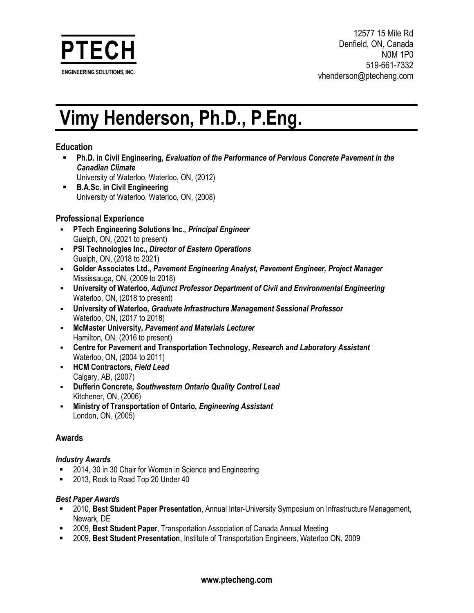

# **Vimy Henderson, Ph.D., P.Eng.**

# **Education**

- **Ph.D. in Civil Engineering,** *Evaluation of the Performance of Pervious Concrete Pavement in the Canadian Climate*
- University of Waterloo, Waterloo, ON, (2012) **B.A.Sc. in Civil Engineering** University of Waterloo, Waterloo, ON, (2008)

# **Professional Experience**

- **PTech Engineering Solutions Inc.,** *Principal Engineer* Guelph, ON, (2021 to present)
- **PSI Technologies Inc.,** *Director of Eastern Operations* Guelph, ON, (2018 to 2021)
- **Golder Associates Ltd.,** *Pavement Engineering Analyst, Pavement Engineer, Project Manager* Mississauga, ON, (2009 to 2018)
- **University of Waterloo,** *Adjunct Professor Department of Civil and Environmental Engineering* Waterloo, ON, (2018 to present)
- **University of Waterloo,** *Graduate Infrastructure Management Sessional Professor* Waterloo, ON, (2017 to 2018)
- **McMaster University,** *Pavement and Materials Lecturer* Hamilton, ON, (2016 to present)
- **Centre for Pavement and Transportation Technology,** *Research and Laboratory Assistant* Waterloo, ON, (2004 to 2011)
- **HCM Contractors,** *Field Lead* Calgary, AB, (2007)
- **Dufferin Concrete,** *Southwestern Ontario Quality Control Lead* Kitchener, ON, (2006)
- **Ministry of Transportation of Ontario,** *Engineering Assistant* London, ON, (2005)

# **Awards**

## *Industry Awards*

- 2014, 30 in 30 Chair for Women in Science and Engineering
- 2013, Rock to Road Top 20 Under 40

## *Best Paper Awards*

- 2010, **Best Student Paper Presentation**, Annual Inter-University Symposium on Infrastructure Management, Newark, DE
- 2009, **Best Student Paper**, Transportation Association of Canada Annual Meeting
- 2009, **Best Student Presentation**, Institute of Transportation Engineers, Waterloo ON, 2009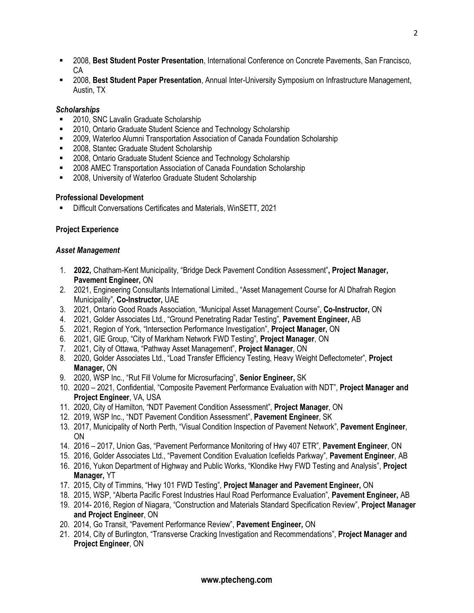- 2008, **Best Student Poster Presentation**, International Conference on Concrete Pavements, San Francisco,  $CA$
- 2008, **Best Student Paper Presentation**, Annual Inter-University Symposium on Infrastructure Management, Austin, TX

## *Scholarships*

- 2010, SNC Lavalin Graduate Scholarship
- 2010, Ontario Graduate Student Science and Technology Scholarship
- 2009, Waterloo Alumni Transportation Association of Canada Foundation Scholarship
- 2008, Stantec Graduate Student Scholarship
- **2008, Ontario Graduate Student Science and Technology Scholarship**
- **2008 AMEC Transportation Association of Canada Foundation Scholarship**
- **2008, University of Waterloo Graduate Student Scholarship**

## **Professional Development**

Difficult Conversations Certificates and Materials, WinSETT, 2021

## **Project Experience**

#### *Asset Management*

- 1. **2022,** Chatham-Kent Municipality, "Bridge Deck Pavement Condition Assessment"**, Project Manager, Pavement Engineer,** ON
- 2. 2021, Engineering Consultants International Limited., "Asset Management Course for Al Dhafrah Region Municipality", **Co-Instructor,** UAE
- 3. 2021, Ontario Good Roads Association, "Municipal Asset Management Course", **Co-Instructor,** ON
- 4. 2021, Golder Associates Ltd., "Ground Penetrating Radar Testing", **Pavement Engineer,** AB
- 5. 2021, Region of York, "Intersection Performance Investigation", **Project Manager,** ON
- 6. 2021, GIE Group, "City of Markham Network FWD Testing", **Project Manager**, ON
- 7. 2021, City of Ottawa, "Pathway Asset Management", **Project Manager**, ON
- 8. 2020, Golder Associates Ltd., "Load Transfer Efficiency Testing, Heavy Weight Deflectometer", **Project Manager,** ON
- 9. 2020, WSP Inc., "Rut Fill Volume for Microsurfacing", **Senior Engineer,** SK
- 10. 2020 2021, Confidential, "Composite Pavement Performance Evaluation with NDT", **Project Manager and Project Engineer**, VA, USA
- 11. 2020, City of Hamilton, "NDT Pavement Condition Assessment", **Project Manager**, ON
- 12. 2019, WSP Inc., "NDT Pavement Condition Assessment", **Pavement Engineer**, SK
- 13. 2017, Municipality of North Perth, "Visual Condition Inspection of Pavement Network", **Pavement Engineer**, ON
- 14. 2016 2017, Union Gas, "Pavement Performance Monitoring of Hwy 407 ETR", **Pavement Engineer**, ON
- 15. 2016, Golder Associates Ltd., "Pavement Condition Evaluation Icefields Parkway", **Pavement Engineer**, AB
- 16. 2016, Yukon Department of Highway and Public Works, "Klondike Hwy FWD Testing and Analysis", **Project Manager,** YT
- 17. 2015, City of Timmins, "Hwy 101 FWD Testing", **Project Manager and Pavement Engineer,** ON
- 18. 2015, WSP, "Alberta Pacific Forest Industries Haul Road Performance Evaluation", **Pavement Engineer,** AB
- 19. 2014- 2016, Region of Niagara, "Construction and Materials Standard Specification Review", **Project Manager and Project Engineer**, ON
- 20. 2014, Go Transit, "Pavement Performance Review", **Pavement Engineer,** ON
- 21. 2014, City of Burlington, "Transverse Cracking Investigation and Recommendations", **Project Manager and Project Engineer**, ON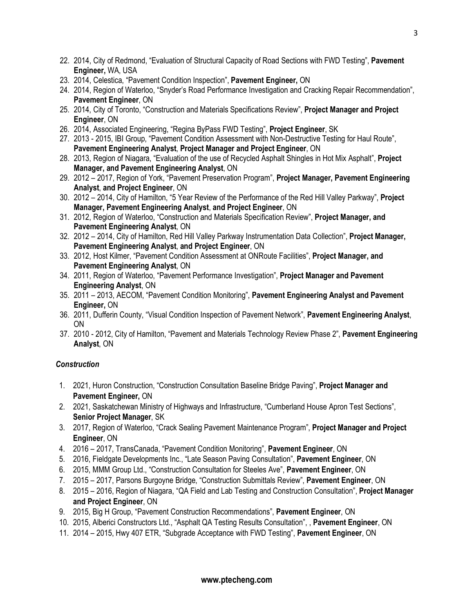- 22. 2014, City of Redmond, "Evaluation of Structural Capacity of Road Sections with FWD Testing", **Pavement Engineer,** WA, USA
- 23. 2014, Celestica, "Pavement Condition Inspection", **Pavement Engineer,** ON
- 24. 2014, Region of Waterloo, "Snyder's Road Performance Investigation and Cracking Repair Recommendation", **Pavement Engineer**, ON
- 25. 2014, City of Toronto, "Construction and Materials Specifications Review", **Project Manager and Project Engineer**, ON
- 26. 2014, Associated Engineering, "Regina ByPass FWD Testing", **Project Engineer**, SK
- 27. 2013 2015, IBI Group, "Pavement Condition Assessment with Non-Destructive Testing for Haul Route", **Pavement Engineering Analyst**, **Project Manager and Project Engineer**, ON
- 28. 2013, Region of Niagara, "Evaluation of the use of Recycled Asphalt Shingles in Hot Mix Asphalt", **Project Manager, and Pavement Engineering Analyst**, ON
- 29. 2012 2017, Region of York, "Pavement Preservation Program", **Project Manager, Pavement Engineering Analyst**, **and Project Engineer**, ON
- 30. 2012 2014, City of Hamilton, "5 Year Review of the Performance of the Red Hill Valley Parkway", **Project Manager, Pavement Engineering Analyst**, **and Project Engineer**, ON
- 31. 2012, Region of Waterloo, "Construction and Materials Specification Review", **Project Manager, and Pavement Engineering Analyst**, ON
- 32. 2012 2014, City of Hamilton, Red Hill Valley Parkway Instrumentation Data Collection", **Project Manager, Pavement Engineering Analyst**, **and Project Engineer**, ON
- 33. 2012, Host Kilmer, "Pavement Condition Assessment at ONRoute Facilities", **Project Manager, and Pavement Engineering Analyst**, ON
- 34. 2011, Region of Waterloo, "Pavement Performance Investigation", **Project Manager and Pavement Engineering Analyst**, ON
- 35. 2011 2013, AECOM, "Pavement Condition Monitoring", **Pavement Engineering Analyst and Pavement Engineer,** ON
- 36. 2011, Dufferin County, "Visual Condition Inspection of Pavement Network", **Pavement Engineering Analyst**, ON
- 37. 2010 2012, City of Hamilton, "Pavement and Materials Technology Review Phase 2", **Pavement Engineering Analyst**, ON

# *Construction*

- 1. 2021, Huron Construction, "Construction Consultation Baseline Bridge Paving", **Project Manager and Pavement Engineer,** ON
- 2. 2021, Saskatchewan Ministry of Highways and Infrastructure, "Cumberland House Apron Test Sections", **Senior Project Manager**, SK
- 3. 2017, Region of Waterloo, "Crack Sealing Pavement Maintenance Program", **Project Manager and Project Engineer**, ON
- 4. 2016 2017, TransCanada, "Pavement Condition Monitoring", **Pavement Engineer**, ON
- 5. 2016, Fieldgate Developments Inc., "Late Season Paving Consultation", **Pavement Engineer**, ON
- 6. 2015, MMM Group Ltd., "Construction Consultation for Steeles Ave", **Pavement Engineer**, ON
- 7. 2015 2017, Parsons Burgoyne Bridge, "Construction Submittals Review", **Pavement Engineer**, ON
- 8. 2015 2016, Region of Niagara, "QA Field and Lab Testing and Construction Consultation", **Project Manager and Project Engineer**, ON
- 9. 2015, Big H Group, "Pavement Construction Recommendations", **Pavement Engineer**, ON
- 10. 2015, Alberici Constructors Ltd., "Asphalt QA Testing Results Consultation", , **Pavement Engineer**, ON
- 11. 2014 2015, Hwy 407 ETR, "Subgrade Acceptance with FWD Testing", **Pavement Engineer**, ON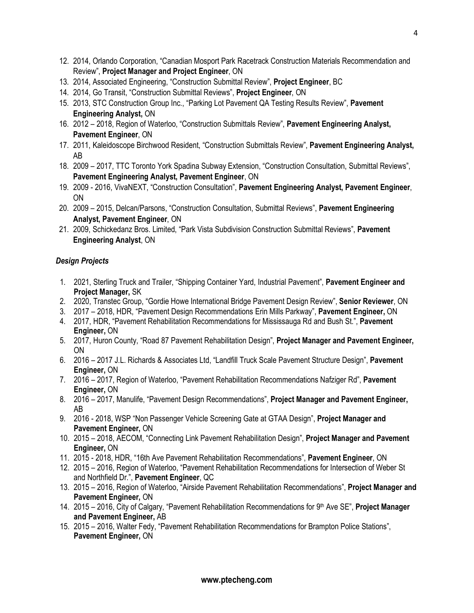- 12. 2014, Orlando Corporation, "Canadian Mosport Park Racetrack Construction Materials Recommendation and Review", **Project Manager and Project Engineer**, ON
- 13. 2014, Associated Engineering, "Construction Submittal Review", **Project Engineer**, BC
- 14. 2014, Go Transit, "Construction Submittal Reviews", **Project Engineer**, ON
- 15. 2013, STC Construction Group Inc., "Parking Lot Pavement QA Testing Results Review", **Pavement Engineering Analyst,** ON
- 16. 2012 2018, Region of Waterloo, "Construction Submittals Review", **Pavement Engineering Analyst, Pavement Engineer**, ON
- 17. 2011, Kaleidoscope Birchwood Resident, "Construction Submittals Review", **Pavement Engineering Analyst,**  AB
- 18. 2009 2017, TTC Toronto York Spadina Subway Extension, "Construction Consultation, Submittal Reviews", **Pavement Engineering Analyst, Pavement Engineer**, ON
- 19. 2009 2016, VivaNEXT, "Construction Consultation", **Pavement Engineering Analyst, Pavement Engineer**, ON
- 20. 2009 2015, Delcan/Parsons, "Construction Consultation, Submittal Reviews", **Pavement Engineering Analyst, Pavement Engineer**, ON
- 21. 2009, Schickedanz Bros. Limited, "Park Vista Subdivision Construction Submittal Reviews", **Pavement Engineering Analyst**, ON

# *Design Projects*

- 1. 2021, Sterling Truck and Trailer, "Shipping Container Yard, Industrial Pavement", **Pavement Engineer and Project Manager,** SK
- 2. 2020, Transtec Group, "Gordie Howe International Bridge Pavement Design Review", **Senior Reviewer**, ON
- 3. 2017 2018, HDR, "Pavement Design Recommendations Erin Mills Parkway", **Pavement Engineer,** ON
- 4. 2017, HDR, "Pavement Rehabilitation Recommendations for Mississauga Rd and Bush St.", **Pavement Engineer,** ON
- 5. 2017, Huron County, "Road 87 Pavement Rehabilitation Design", **Project Manager and Pavement Engineer,** ON
- 6. 2016 2017 J.L. Richards & Associates Ltd, "Landfill Truck Scale Pavement Structure Design", **Pavement Engineer,** ON
- 7. 2016 2017, Region of Waterloo, "Pavement Rehabilitation Recommendations Nafziger Rd", **Pavement Engineer,** ON
- 8. 2016 2017, Manulife, "Pavement Design Recommendations", **Project Manager and Pavement Engineer,**  AB
- 9. 2016 2018, WSP "Non Passenger Vehicle Screening Gate at GTAA Design", **Project Manager and Pavement Engineer,** ON
- 10. 2015 2018, AECOM, "Connecting Link Pavement Rehabilitation Design", **Project Manager and Pavement Engineer,** ON
- 11. 2015 2018, HDR, "16th Ave Pavement Rehabilitation Recommendations", **Pavement Engineer**, ON
- 12. 2015 2016, Region of Waterloo, "Pavement Rehabilitation Recommendations for Intersection of Weber St and Northfield Dr.", **Pavement Engineer**, QC
- 13. 2015 2016, Region of Waterloo, "Airside Pavement Rehabilitation Recommendations", **Project Manager and Pavement Engineer,** ON
- 14. 2015 2016, City of Calgary, "Pavement Rehabilitation Recommendations for 9th Ave SE", **Project Manager and Pavement Engineer,** AB
- 15. 2015 2016, Walter Fedy, "Pavement Rehabilitation Recommendations for Brampton Police Stations", **Pavement Engineer,** ON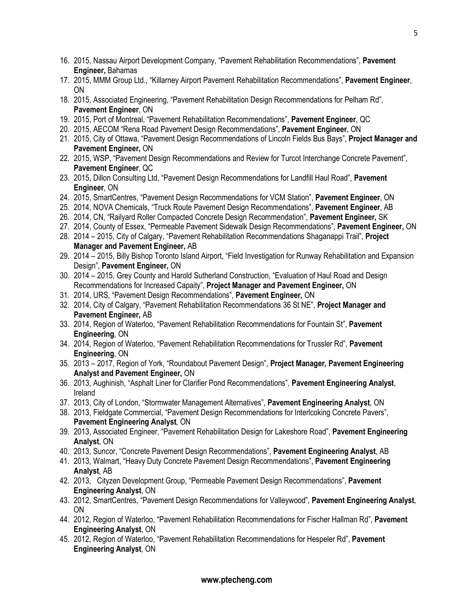- 16. 2015, Nassau Airport Development Company, "Pavement Rehabilitation Recommendations", **Pavement Engineer,** Bahamas
- 17. 2015, MMM Group Ltd., "Killarney Airport Pavement Rehabilitation Recommendations", **Pavement Engineer**, ON
- 18. 2015, Associated Engineering, "Pavement Rehabilitation Design Recommendations for Pelham Rd", **Pavement Engineer**, ON
- 19. 2015, Port of Montreal, "Pavement Rehabilitation Recommendations", **Pavement Engineer**, QC
- 20. 2015, AECOM "Rena Road Pavement Design Recommendations", **Pavement Engineer**, ON
- 21. 2015, City of Ottawa, "Pavement Design Recommendations of Lincoln Fields Bus Bays", **Project Manager and Pavement Engineer,** ON
- 22. 2015, WSP, "Pavement Design Recommendations and Review for Turcot Interchange Concrete Pavement", **Pavement Engineer**, QC
- 23. 2015, Dillon Consulting Ltd, "Pavement Design Recommendations for Landfill Haul Road", **Pavement Engineer**, ON
- 24. 2015, SmartCentres, "Pavement Design Recommendations for VCM Station", **Pavement Engineer**, ON
- 25. 2014, NOVA Chemicals, "Truck Route Pavement Design Recommendations", **Pavement Engineer**, AB
- 26. 2014, CN, "Railyard Roller Compacted Concrete Design Recommendation", **Pavement Engineer,** SK
- 27. 2014, County of Essex, "Permeable Pavement Sidewalk Design Recommendations", **Pavement Engineer,** ON
- 28. 2014 2015, City of Calgary, "Pavement Rehabilitation Recommendations Shaganappi Trail", **Project Manager and Pavement Engineer,** AB
- 29. 2014 2015, Billy Bishop Toronto Island Airport, "Field Investigation for Runway Rehabilitation and Expansion Design", **Pavement Engineer,** ON
- 30. 2014 2015, Grey County and Harold Sutherland Construction, "Evaluation of Haul Road and Design Recommendations for Increased Capaity", **Project Manager and Pavement Engineer,** ON
- 31. 2014, URS, "Pavement Design Recommendations", **Pavement Engineer,** ON
- 32. 2014, City of Calgary, "Pavement Rehabilitation Recommendations 36 St NE", **Project Manager and Pavement Engineer,** AB
- 33. 2014, Region of Waterloo, "Pavement Rehabilitation Recommendations for Fountain St", **Pavement Engineering**, ON
- 34. 2014, Region of Waterloo, "Pavement Rehabilitation Recommendations for Trussler Rd", **Pavement Engineering**, ON
- 35. 2013 2017, Region of York, "Roundabout Pavement Design", **Project Manager, Pavement Engineering Analyst and Pavement Engineer,** ON
- 36. 2013, Aughinish, "Asphalt Liner for Clarifier Pond Recommendations", **Pavement Engineering Analyst**, Ireland
- 37. 2013, City of London, "Stormwater Management Alternatives", **Pavement Engineering Analyst**, ON
- 38. 2013, Fieldgate Commercial, "Pavement Design Recommendations for Interlcoking Concrete Pavers", **Pavement Engineering Analyst**, ON
- 39. 2013, Associated Engineer, "Pavement Rehabilitation Design for Lakeshore Road", **Pavement Engineering Analyst**, ON
- 40. 2013, Suncor, "Concrete Pavement Design Recommendations", **Pavement Engineering Analyst**, AB
- 41. 2013, Walmart, "Heavy Duty Concrete Pavement Design Recommendations", **Pavement Engineering Analyst**, AB
- 42. 2013, Cityzen Development Group, "Permeable Pavement Design Recommendations", **Pavement Engineering Analyst**, ON
- 43. 2012, SmartCentres, "Pavement Design Recommendations for Valleywood", **Pavement Engineering Analyst**, ON
- 44. 2012, Region of Waterloo, "Pavement Rehabilitation Recommendations for Fischer Hallman Rd", **Pavement Engineering Analyst**, ON
- 45. 2012, Region of Waterloo, "Pavement Rehabilitation Recommendations for Hespeler Rd", **Pavement Engineering Analyst**, ON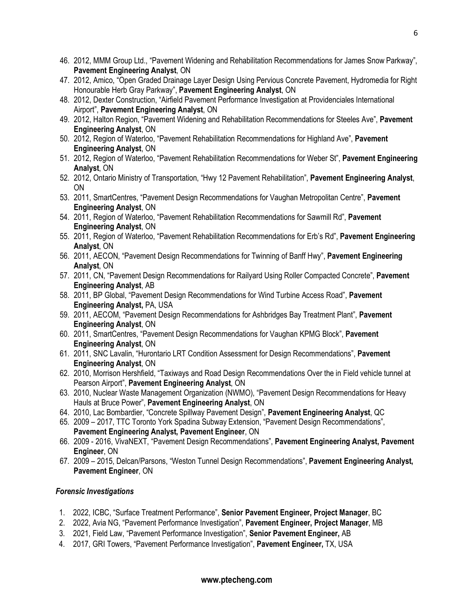- 46. 2012, MMM Group Ltd., "Pavement Widening and Rehabilitation Recommendations for James Snow Parkway", **Pavement Engineering Analyst**, ON
- 47. 2012, Amico, "Open Graded Drainage Layer Design Using Pervious Concrete Pavement, Hydromedia for Right Honourable Herb Gray Parkway", **Pavement Engineering Analyst**, ON
- 48. 2012, Dexter Construction, "Airfield Pavement Performance Investigation at Providenciales International Airport", **Pavement Engineering Analyst**, ON
- 49. 2012, Halton Region, "Pavement Widening and Rehabilitation Recommendations for Steeles Ave", **Pavement Engineering Analyst**, ON
- 50. 2012, Region of Waterloo, "Pavement Rehabilitation Recommendations for Highland Ave", **Pavement Engineering Analyst**, ON
- 51. 2012, Region of Waterloo, "Pavement Rehabilitation Recommendations for Weber St", **Pavement Engineering Analyst**, ON
- 52. 2012, Ontario Ministry of Transportation, "Hwy 12 Pavement Rehabilitation", **Pavement Engineering Analyst**, ON
- 53. 2011, SmartCentres, "Pavement Design Recommendations for Vaughan Metropolitan Centre", **Pavement Engineering Analyst**, ON
- 54. 2011, Region of Waterloo, "Pavement Rehabilitation Recommendations for Sawmill Rd", **Pavement Engineering Analyst**, ON
- 55. 2011, Region of Waterloo, "Pavement Rehabilitation Recommendations for Erb's Rd", **Pavement Engineering Analyst**, ON
- 56. 2011, AECON, "Pavement Design Recommendations for Twinning of Banff Hwy", **Pavement Engineering Analyst**, ON
- 57. 2011, CN, "Pavement Design Recommendations for Railyard Using Roller Compacted Concrete", **Pavement Engineering Analyst**, AB
- 58. 2011, BP Global, "Pavement Design Recommendations for Wind Turbine Access Road", **Pavement Engineering Analyst,** PA, USA
- 59. 2011, AECOM, "Pavement Design Recommendations for Ashbridges Bay Treatment Plant", **Pavement Engineering Analyst**, ON
- 60. 2011, SmartCentres, "Pavement Design Recommendations for Vaughan KPMG Block", **Pavement Engineering Analyst**, ON
- 61. 2011, SNC Lavalin, "Hurontario LRT Condition Assessment for Design Recommendations", **Pavement Engineering Analyst**, ON
- 62. 2010, Morrison Hershfield, "Taxiways and Road Design Recommendations Over the in Field vehicle tunnel at Pearson Airport", **Pavement Engineering Analyst**, ON
- 63. 2010, Nuclear Waste Management Organization (NWMO), "Pavement Design Recommendations for Heavy Hauls at Bruce Power", **Pavement Engineering Analyst**, ON
- 64. 2010, Lac Bombardier, "Concrete Spillway Pavement Design", **Pavement Engineering Analyst**, QC
- 65. 2009 2017, TTC Toronto York Spadina Subway Extension, "Pavement Design Recommendations", **Pavement Engineering Analyst, Pavement Engineer**, ON
- 66. 2009 2016, VivaNEXT, "Pavement Design Recommendations", **Pavement Engineering Analyst, Pavement Engineer**, ON
- 67. 2009 2015, Delcan/Parsons, "Weston Tunnel Design Recommendations", **Pavement Engineering Analyst, Pavement Engineer**, ON

## *Forensic Investigations*

- 1. 2022, ICBC, "Surface Treatment Performance", **Senior Pavement Engineer, Project Manager**, BC
- 2. 2022, Avia NG, "Pavement Performance Investigation", **Pavement Engineer, Project Manager**, MB
- 3. 2021, Field Law, "Pavement Performance Investigation", **Senior Pavement Engineer,** AB
- 4. 2017, GRI Towers, "Pavement Performance Investigation", **Pavement Engineer,** TX, USA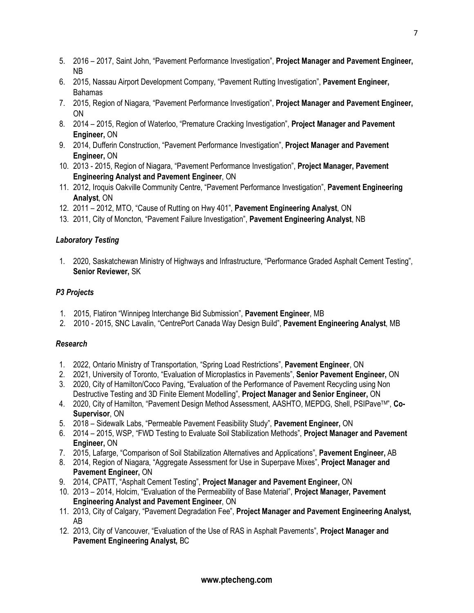- 5. 2016 2017, Saint John, "Pavement Performance Investigation", **Project Manager and Pavement Engineer,**  NB
- 6. 2015, Nassau Airport Development Company, "Pavement Rutting Investigation", **Pavement Engineer,** Bahamas
- 7. 2015, Region of Niagara, "Pavement Performance Investigation", **Project Manager and Pavement Engineer,**  ON
- 8. 2014 2015, Region of Waterloo, "Premature Cracking Investigation", **Project Manager and Pavement Engineer,** ON
- 9. 2014, Dufferin Construction, "Pavement Performance Investigation", **Project Manager and Pavement Engineer,** ON
- 10. 2013 2015, Region of Niagara, "Pavement Performance Investigation", **Project Manager, Pavement Engineering Analyst and Pavement Engineer**, ON
- 11. 2012, Iroquis Oakville Community Centre, "Pavement Performance Investigation", **Pavement Engineering Analyst**, ON
- 12. 2011 2012, MTO, "Cause of Rutting on Hwy 401", **Pavement Engineering Analyst**, ON
- 13. 2011, City of Moncton, "Pavement Failure Investigation", **Pavement Engineering Analyst**, NB

## *Laboratory Testing*

1. 2020, Saskatchewan Ministry of Highways and Infrastructure, "Performance Graded Asphalt Cement Testing", **Senior Reviewer,** SK

## *P3 Projects*

- 1. 2015, Flatiron "Winnipeg Interchange Bid Submission", **Pavement Engineer**, MB
- 2. 2010 2015, SNC Lavalin, "CentrePort Canada Way Design Build", **Pavement Engineering Analyst**, MB

## *Research*

- 1. 2022, Ontario Ministry of Transportation, "Spring Load Restrictions", **Pavement Engineer**, ON
- 2. 2021, University of Toronto, "Evaluation of Microplastics in Pavements", **Senior Pavement Engineer,** ON
- 3. 2020, City of Hamilton/Coco Paving, "Evaluation of the Performance of Pavement Recycling using Non Destructive Testing and 3D Finite Element Modelling", **Project Manager and Senior Engineer,** ON
- 4. 2020, City of Hamilton, "Pavement Design Method Assessment, AASHTO, MEPDG, Shell, PSIPaveTM", **Co-Supervisor**, ON
- 5. 2018 Sidewalk Labs, "Permeable Pavement Feasibility Study", **Pavement Engineer,** ON
- 6. 2014 2015, WSP, "FWD Testing to Evaluate Soil Stabilization Methods", **Project Manager and Pavement Engineer,** ON
- 7. 2015, Lafarge, "Comparison of Soil Stabilization Alternatives and Applications", **Pavement Engineer,** AB
- 8. 2014, Region of Niagara, "Aggregate Assessment for Use in Superpave Mixes", **Project Manager and Pavement Engineer,** ON
- 9. 2014, CPATT, "Asphalt Cement Testing", **Project Manager and Pavement Engineer,** ON
- 10. 2013 2014, Holcim, "Evaluation of the Permeability of Base Material", **Project Manager, Pavement Engineering Analyst and Pavement Engineer**, ON
- 11. 2013, City of Calgary, "Pavement Degradation Fee", **Project Manager and Pavement Engineering Analyst,**  AB
- 12. 2013, City of Vancouver, "Evaluation of the Use of RAS in Asphalt Pavements", **Project Manager and Pavement Engineering Analyst,** BC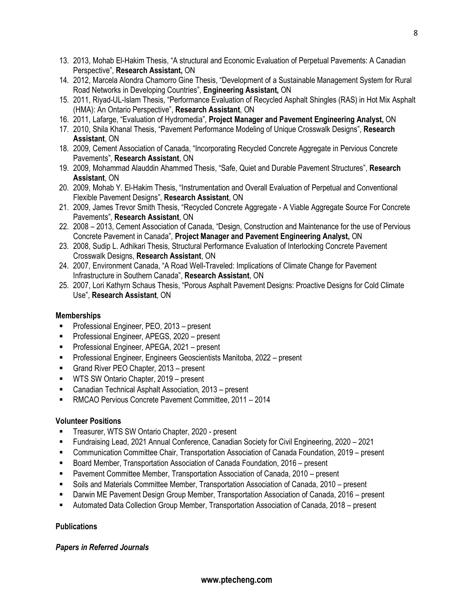- 13. 2013, Mohab El-Hakim Thesis, "A structural and Economic Evaluation of Perpetual Pavements: A Canadian Perspective", **Research Assistant,** ON
- 14. 2012, Marcela Alondra Chamorro Gine Thesis, "Development of a Sustainable Management System for Rural Road Networks in Developing Countries", **Engineering Assistant,** ON
- 15. 2011, Riyad-UL-Islam Thesis, "Performance Evaluation of Recycled Asphalt Shingles (RAS) in Hot Mix Asphalt (HMA): An Ontario Perspective", **Research Assistant**, ON
- 16. 2011, Lafarge, "Evaluation of Hydromedia", **Project Manager and Pavement Engineering Analyst,** ON
- 17. 2010, Shila Khanal Thesis, "Pavement Performance Modeling of Unique Crosswalk Designs", **Research Assistant**, ON
- 18. 2009, Cement Association of Canada, "Incorporating Recycled Concrete Aggregate in Pervious Concrete Pavements", **Research Assistant**, ON
- 19. 2009, Mohammad Alauddin Ahammed Thesis, "Safe, Quiet and Durable Pavement Structures", **Research Assistant**, ON
- 20. 2009, Mohab Y. El-Hakim Thesis, "Instrumentation and Overall Evaluation of Perpetual and Conventional Flexible Pavement Designs", **Research Assistant**, ON
- 21. 2009, James Trevor Smith Thesis, "Recycled Concrete Aggregate A Viable Aggregate Source For Concrete Pavements", **Research Assistant**, ON
- 22. 2008 2013, Cement Association of Canada, "Design, Construction and Maintenance for the use of Pervious Concrete Pavement in Canada", **Project Manager and Pavement Engineering Analyst,** ON
- 23. 2008, Sudip L. Adhikari Thesis, Structural Performance Evaluation of Interlocking Concrete Pavement Crosswalk Designs, **Research Assistant**, ON
- 24. 2007, Environment Canada, "A Road Well-Traveled: Implications of Climate Change for Pavement Infrastructure in Southern Canada", **Research Assistant**, ON
- 25. 2007, Lori Kathyrn Schaus Thesis, "Porous Asphalt Pavement Designs: Proactive Designs for Cold Climate Use", **Research Assistant**, ON

## **Memberships**

- **Professional Engineer, PEO, 2013 present**
- **Professional Engineer, APEGS, 2020 present**
- **Professional Engineer, APEGA, 2021 present**
- **Professional Engineer, Engineers Geoscientists Manitoba, 2022 present**
- Grand River PEO Chapter, 2013 present
- **WTS SW Ontario Chapter, 2019 present**
- Canadian Technical Asphalt Association, 2013 present
- RMCAO Pervious Concrete Pavement Committee, 2011 2014

#### **Volunteer Positions**

- **Treasurer, WTS SW Ontario Chapter, 2020 present**
- Fundraising Lead, 2021 Annual Conference, Canadian Society for Civil Engineering, 2020 2021
- Communication Committee Chair, Transportation Association of Canada Foundation, 2019 present
- Board Member, Transportation Association of Canada Foundation, 2016 present
- Pavement Committee Member, Transportation Association of Canada, 2010 present
- Soils and Materials Committee Member, Transportation Association of Canada, 2010 present
- Darwin ME Pavement Design Group Member, Transportation Association of Canada, 2016 present
- Automated Data Collection Group Member, Transportation Association of Canada, 2018 present

#### **Publications**

#### *Papers in Referred Journals*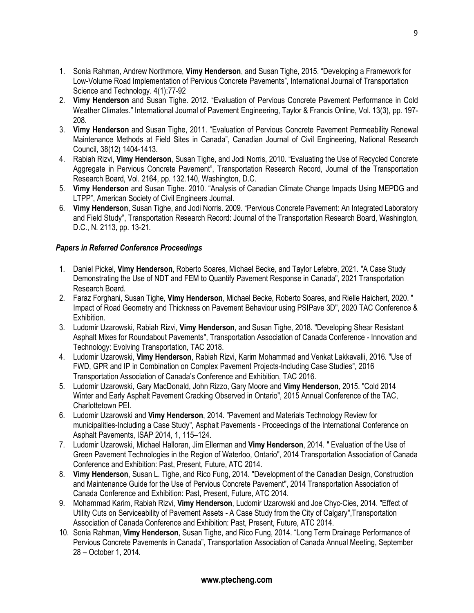- 1. Sonia Rahman, Andrew Northmore, **Vimy Henderson**, and Susan Tighe, 2015. "Developing a Framework for Low-Volume Road Implementation of Pervious Concrete Pavements", International Journal of Transportation Science and Technology. 4(1):77-92
- 2. **Vimy Henderson** and Susan Tighe. 2012. "Evaluation of Pervious Concrete Pavement Performance in Cold Weather Climates." International Journal of Pavement Engineering, Taylor & Francis Online, Vol. 13(3), pp. 197- 208.
- 3. **Vimy Henderson** and Susan Tighe, 2011. "Evaluation of Pervious Concrete Pavement Permeability Renewal Maintenance Methods at Field Sites in Canada", Canadian Journal of Civil Engineering, National Research Council, 38(12) 1404-1413.
- 4. Rabiah Rizvi, **Vimy Henderson**, Susan Tighe, and Jodi Norris, 2010. "Evaluating the Use of Recycled Concrete Aggregate in Pervious Concrete Pavement", Transportation Research Record, Journal of the Transportation Research Board, Vol. 2164, pp. 132.140, Washington, D.C.
- 5. **Vimy Henderson** and Susan Tighe. 2010. "Analysis of Canadian Climate Change Impacts Using MEPDG and LTPP", American Society of Civil Engineers Journal.
- 6. **Vimy Henderson**, Susan Tighe, and Jodi Norris. 2009. "Pervious Concrete Pavement: An Integrated Laboratory and Field Study", Transportation Research Record: Journal of the Transportation Research Board, Washington, D.C., N. 2113, pp. 13-21.

## *Papers in Referred Conference Proceedings*

- 1. Daniel Pickel, **Vimy Henderson**, Roberto Soares, Michael Becke, and Taylor Lefebre, 2021. "A Case Study Demonstrating the Use of NDT and FEM to Quantify Pavement Response in Canada", 2021 Transportation Research Board.
- 2. Faraz Forghani, Susan Tighe, **Vimy Henderson**, Michael Becke, Roberto Soares, and Rielle Haichert, 2020. " Impact of Road Geometry and Thickness on Pavement Behaviour using PSIPave 3D", 2020 TAC Conference & Exhibition.
- 3. Ludomir Uzarowski, Rabiah Rizvi, **Vimy Henderson**, and Susan Tighe, 2018. "Developing Shear Resistant Asphalt Mixes for Roundabout Pavements", Transportation Association of Canada Conference - Innovation and Technology: Evolving Transportation, TAC 2018.
- 4. Ludomir Uzarowski, **Vimy Henderson**, Rabiah Rizvi, Karim Mohammad and Venkat Lakkavalli, 2016. "Use of FWD, GPR and IP in Combination on Complex Pavement Projects-Including Case Studies", 2016 Transportation Association of Canada's Conference and Exhibition, TAC 2016.
- 5. Ludomir Uzarowski, Gary MacDonald, John Rizzo, Gary Moore and **Vimy Henderson**, 2015. "Cold 2014 Winter and Early Asphalt Pavement Cracking Observed in Ontario", 2015 Annual Conference of the TAC, Charlottetown PEI.
- 6. Ludomir Uzarowski and **Vimy Henderson**, 2014. "Pavement and Materials Technology Review for municipalities-Including a Case Study", Asphalt Pavements - Proceedings of the International Conference on Asphalt Pavements, ISAP 2014, 1, 115–124.
- 7. Ludomir Uzarowski, Michael Halloran, Jim Ellerman and **Vimy Henderson**, 2014. " Evaluation of the Use of Green Pavement Technologies in the Region of Waterloo, Ontario", 2014 Transportation Association of Canada Conference and Exhibition: Past, Present, Future, ATC 2014.
- 8. **Vimy Henderson**, Susan L. Tighe, and Rico Fung, 2014. "Development of the Canadian Design, Construction and Maintenance Guide for the Use of Pervious Concrete Pavement", 2014 Transportation Association of Canada Conference and Exhibition: Past, Present, Future, ATC 2014.
- 9. Mohammad Karim, Rabiah Rizvi, **Vimy Henderson**, Ludomir Uzarowski and Joe Chyc-Cies, 2014. "Effect of Utility Cuts on Serviceability of Pavement Assets - A Case Study from the City of Calgary",Transportation Association of Canada Conference and Exhibition: Past, Present, Future, ATC 2014.
- 10. Sonia Rahman, **Vimy Henderson**, Susan Tighe, and Rico Fung, 2014. "Long Term Drainage Performance of Pervious Concrete Pavements in Canada", Transportation Association of Canada Annual Meeting, September 28 – October 1, 2014.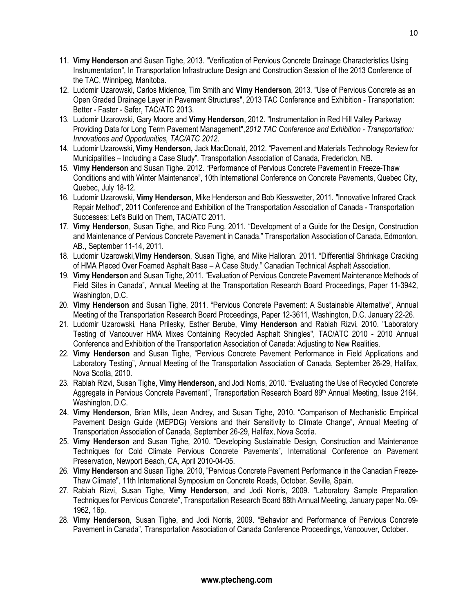- 11. **Vimy Henderson** and Susan Tighe, 2013. "Verification of Pervious Concrete Drainage Characteristics Using Instrumentation", In Transportation Infrastructure Design and Construction Session of the 2013 Conference of the TAC, Winnipeg, Manitoba.
- 12. Ludomir Uzarowski, Carlos Midence, Tim Smith and **Vimy Henderson**, 2013. "Use of Pervious Concrete as an Open Graded Drainage Layer in Pavement Structures", 2013 TAC Conference and Exhibition - Transportation: Better - Faster - Safer, TAC/ATC 2013.
- 13. Ludomir Uzarowski, Gary Moore and **Vimy Henderson**, 2012. "Instrumentation in Red Hill Valley Parkway Providing Data for Long Term Pavement Management",*2012 TAC Conference and Exhibition - Transportation: Innovations and Opportunities, TAC/ATC 2012*.
- 14. Ludomir Uzarowski, **Vimy Henderson,** Jack MacDonald, 2012. "Pavement and Materials Technology Review for Municipalities – Including a Case Study", Transportation Association of Canada, Fredericton, NB.
- 15. **Vimy Henderson** and Susan Tighe. 2012. "Performance of Pervious Concrete Pavement in Freeze-Thaw Conditions and with Winter Maintenance", 10th International Conference on Concrete Pavements, Quebec City, Quebec, July 18-12.
- 16. Ludomir Uzarowski, **Vimy Henderson**, Mike Henderson and Bob Kiesswetter, 2011. "Innovative Infrared Crack Repair Method", 2011 Conference and Exhibition of the Transportation Association of Canada - Transportation Successes: Let's Build on Them, TAC/ATC 2011.
- 17. **Vimy Henderson**, Susan Tighe, and Rico Fung. 2011. "Development of a Guide for the Design, Construction and Maintenance of Pervious Concrete Pavement in Canada." Transportation Association of Canada, Edmonton, AB., September 11-14, 2011.
- 18. Ludomir Uzarowski,**Vimy Henderson**, Susan Tighe, and Mike Halloran. 2011. "Differential Shrinkage Cracking of HMA Placed Over Foamed Asphalt Base – A Case Study." Canadian Technical Asphalt Association.
- 19. **Vimy Henderson** and Susan Tighe, 2011. "Evaluation of Pervious Concrete Pavement Maintenance Methods of Field Sites in Canada", Annual Meeting at the Transportation Research Board Proceedings, Paper 11-3942, Washington, D.C.
- 20. **Vimy Henderson** and Susan Tighe, 2011. "Pervious Concrete Pavement: A Sustainable Alternative", Annual Meeting of the Transportation Research Board Proceedings, Paper 12-3611, Washington, D.C. January 22-26.
- 21. Ludomir Uzarowski, Hana Prilesky, Esther Berube, **Vimy Henderson** and Rabiah Rizvi, 2010. "Laboratory Testing of Vancouver HMA Mixes Containing Recycled Asphalt Shingles", TAC/ATC 2010 - 2010 Annual Conference and Exhibition of the Transportation Association of Canada: Adjusting to New Realities.
- 22. **Vimy Henderson** and Susan Tighe, "Pervious Concrete Pavement Performance in Field Applications and Laboratory Testing", Annual Meeting of the Transportation Association of Canada, September 26-29, Halifax, Nova Scotia, 2010.
- 23. Rabiah Rizvi, Susan Tighe, **Vimy Henderson,** and Jodi Norris, 2010. "Evaluating the Use of Recycled Concrete Aggregate in Pervious Concrete Pavement", Transportation Research Board 89th Annual Meeting, Issue 2164, Washington, D.C.
- 24. **Vimy Henderson**, Brian Mills, Jean Andrey, and Susan Tighe, 2010. "Comparison of Mechanistic Empirical Pavement Design Guide (MEPDG) Versions and their Sensitivity to Climate Change", Annual Meeting of Transportation Association of Canada, September 26-29, Halifax, Nova Scotia.
- 25. **Vimy Henderson** and Susan Tighe, 2010. "Developing Sustainable Design, Construction and Maintenance Techniques for Cold Climate Pervious Concrete Pavements", International Conference on Pavement Preservation, Newport Beach, CA, April 2010-04-05.
- 26. **Vimy Henderson** and Susan Tighe. 2010, "Pervious Concrete Pavement Performance in the Canadian Freeze-Thaw Climate", 11th International Symposium on Concrete Roads, October. Seville, Spain.
- 27. Rabiah Rizvi, Susan Tighe, **Vimy Henderson**, and Jodi Norris, 2009. "Laboratory Sample Preparation Techniques for Pervious Concrete", Transportation Research Board 88th Annual Meeting, January paper No. 09- 1962, 16p.
- 28. **Vimy Henderson**, Susan Tighe, and Jodi Norris, 2009. "Behavior and Performance of Pervious Concrete Pavement in Canada", Transportation Association of Canada Conference Proceedings, Vancouver, October.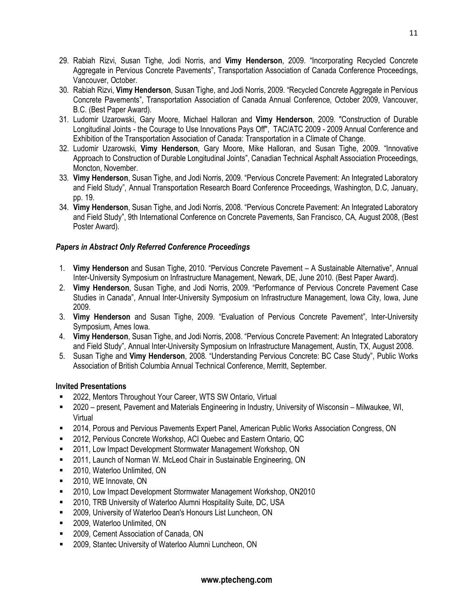- 29. Rabiah Rizvi, Susan Tighe, Jodi Norris, and **Vimy Henderson**, 2009. "Incorporating Recycled Concrete Aggregate in Pervious Concrete Pavements", Transportation Association of Canada Conference Proceedings, Vancouver, October.
- 30. Rabiah Rizvi, **Vimy Henderson**, Susan Tighe, and Jodi Norris, 2009. "Recycled Concrete Aggregate in Pervious Concrete Pavements", Transportation Association of Canada Annual Conference, October 2009, Vancouver, B.C. (Best Paper Award).
- 31. Ludomir Uzarowski, Gary Moore, Michael Halloran and **Vimy Henderson**, 2009. "Construction of Durable Longitudinal Joints - the Courage to Use Innovations Pays Off", TAC/ATC 2009 - 2009 Annual Conference and Exhibition of the Transportation Association of Canada: Transportation in a Climate of Change.
- 32. Ludomir Uzarowski, **Vimy Henderson**, Gary Moore, Mike Halloran, and Susan Tighe, 2009. "Innovative Approach to Construction of Durable Longitudinal Joints", Canadian Technical Asphalt Association Proceedings, Moncton, November.
- 33. **Vimy Henderson**, Susan Tighe, and Jodi Norris, 2009. "Pervious Concrete Pavement: An Integrated Laboratory and Field Study", Annual Transportation Research Board Conference Proceedings, Washington, D.C, January, pp. 19.
- 34. **Vimy Henderson**, Susan Tighe, and Jodi Norris, 2008. "Pervious Concrete Pavement: An Integrated Laboratory and Field Study", 9th International Conference on Concrete Pavements, San Francisco, CA, August 2008, (Best Poster Award).

## *Papers in Abstract Only Referred Conference Proceedings*

- 1. **Vimy Henderson** and Susan Tighe, 2010. "Pervious Concrete Pavement A Sustainable Alternative", Annual Inter-University Symposium on Infrastructure Management, Newark, DE, June 2010. (Best Paper Award).
- 2. **Vimy Henderson**, Susan Tighe, and Jodi Norris, 2009. "Performance of Pervious Concrete Pavement Case Studies in Canada", Annual Inter-University Symposium on Infrastructure Management, Iowa City, Iowa, June 2009.
- 3. **Vimy Henderson** and Susan Tighe, 2009. "Evaluation of Pervious Concrete Pavement", Inter-University Symposium, Ames Iowa.
- 4. **Vimy Henderson**, Susan Tighe, and Jodi Norris, 2008. "Pervious Concrete Pavement: An Integrated Laboratory and Field Study", Annual Inter-University Symposium on Infrastructure Management, Austin, TX, August 2008.
- 5. Susan Tighe and **Vimy Henderson**, 2008. "Understanding Pervious Concrete: BC Case Study", Public Works Association of British Columbia Annual Technical Conference, Merritt, September.

## **Invited Presentations**

- **2022, Mentors Throughout Your Career, WTS SW Ontario, Virtual**
- 2020 present, Pavement and Materials Engineering in Industry, University of Wisconsin Milwaukee, WI, Virtual
- 2014, Porous and Pervious Pavements Expert Panel, American Public Works Association Congress, ON
- **2012, Pervious Concrete Workshop, ACI Quebec and Eastern Ontario, QC**
- 2011, Low Impact Development Stormwater Management Workshop, ON
- 2011, Launch of Norman W. McLeod Chair in Sustainable Engineering, ON
- **2010, Waterloo Unlimited, ON**
- 2010, WE Innovate, ON
- **2010, Low Impact Development Stormwater Management Workshop, ON2010**
- 2010, TRB University of Waterloo Alumni Hospitality Suite, DC, USA
- **2009, University of Waterloo Dean's Honours List Luncheon, ON**
- **2009, Waterloo Unlimited, ON**
- **2009, Cement Association of Canada, ON**
- **2009, Stantec University of Waterloo Alumni Luncheon, ON**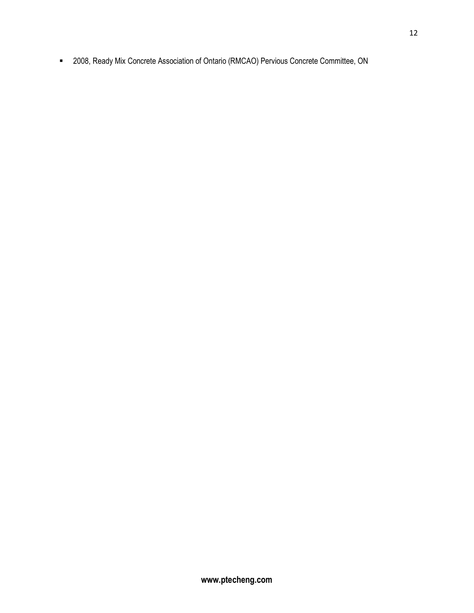2008, Ready Mix Concrete Association of Ontario (RMCAO) Pervious Concrete Committee, ON